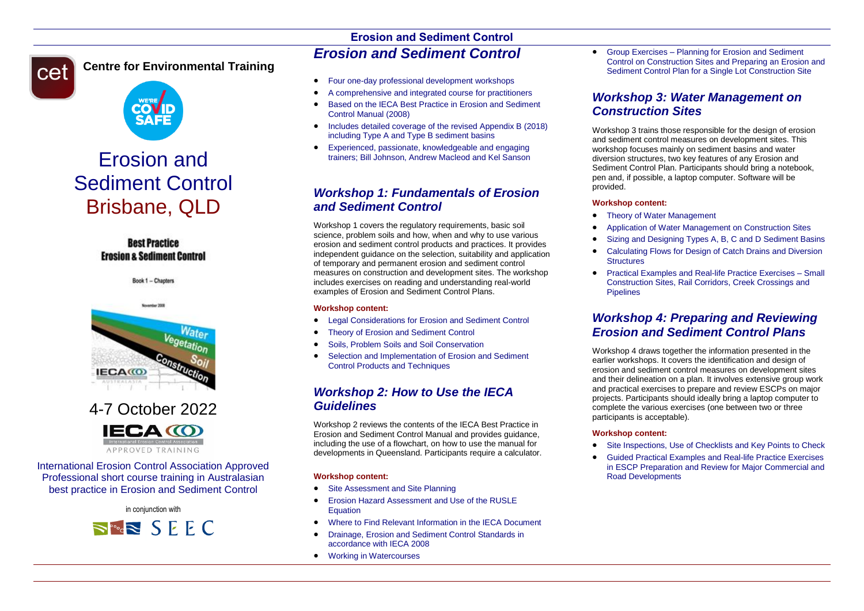

### **Centre for Environmental Training**



# Erosion and Sediment Control Brisbane, QLD

**Best Practice Erosion & Sediment Control** 

Book 1 - Chapters



# 4-7 October 2022



International Erosion Control Association Approved Professional short course training in Australasian best practice in Erosion and Sediment Control

in conjunction with



# **Erosion and Sediment Control** *Erosion and Sediment Control*

- Four one-day professional development workshops
- A comprehensive and integrated course for practitioners
- Based on the IECA Best Practice in Erosion and Sediment Control Manual (2008)
- Includes detailed coverage of the revised Appendix B (2018) including Type A and Type B sediment basins
- Experienced, passionate, knowledgeable and engaging trainers; Bill Johnson, Andrew Macleod and Kel Sanson

## *Workshop 1: Fundamentals of Erosion and Sediment Control*

Workshop 1 covers the regulatory requirements, basic soil science, problem soils and how, when and why to use various erosion and sediment control products and practices. It provides independent guidance on the selection, suitability and application of temporary and permanent erosion and sediment control measures on construction and development sites. The workshop includes exercises on reading and understanding real-world examples of Erosion and Sediment Control Plans.

#### **Workshop content:**

- Legal Considerations for Erosion and Sediment Control
- Theory of Erosion and Sediment Control
- Soils, Problem Soils and Soil Conservation
- Selection and Implementation of Erosion and Sediment Control Products and Techniques

### *Workshop 2: How to Use the IECA Guidelines*

Workshop 2 reviews the contents of the IECA Best Practice in Erosion and Sediment Control Manual and provides guidance, including the use of a flowchart, on how to use the manual for developments in Queensland. Participants require a calculator.

#### **Workshop content:**

- Site Assessment and Site Planning
- **Erosion Hazard Assessment and Use of the RUSLE** Equation
- Where to Find Relevant Information in the IECA Document
- Drainage, Erosion and Sediment Control Standards in accordance with IECA 2008
- Working in Watercourses

 Group Exercises – Planning for Erosion and Sediment Control on Construction Sites and Preparing an Erosion and Sediment Control Plan for a Single Lot Construction Site

## *Workshop 3: Water Management on Construction Sites*

Workshop 3 trains those responsible for the design of erosion and sediment control measures on development sites. This workshop focuses mainly on sediment basins and water diversion structures, two key features of any Erosion and Sediment Control Plan. Participants should bring a notebook, pen and, if possible, a laptop computer. Software will be provided.

#### **Workshop content:**

- Theory of Water Management
- Application of Water Management on Construction Sites
- Sizing and Designing Types A, B, C and D Sediment Basins
- Calculating Flows for Design of Catch Drains and Diversion **Structures**
- Practical Examples and Real-life Practice Exercises Small Construction Sites, Rail Corridors, Creek Crossings and **Pinelines**

## *Workshop 4: Preparing and Reviewing Erosion and Sediment Control Plans*

Workshop 4 draws together the information presented in the earlier workshops. It covers the identification and design of erosion and sediment control measures on development sites and their delineation on a plan. It involves extensive group work and practical exercises to prepare and review ESCPs on major projects. Participants should ideally bring a laptop computer to complete the various exercises (one between two or three participants is acceptable).

#### **Workshop content:**

- Site Inspections, Use of Checklists and Key Points to Check
- Guided Practical Examples and Real-life Practice Exercises in ESCP Preparation and Review for Major Commercial and Road Developments